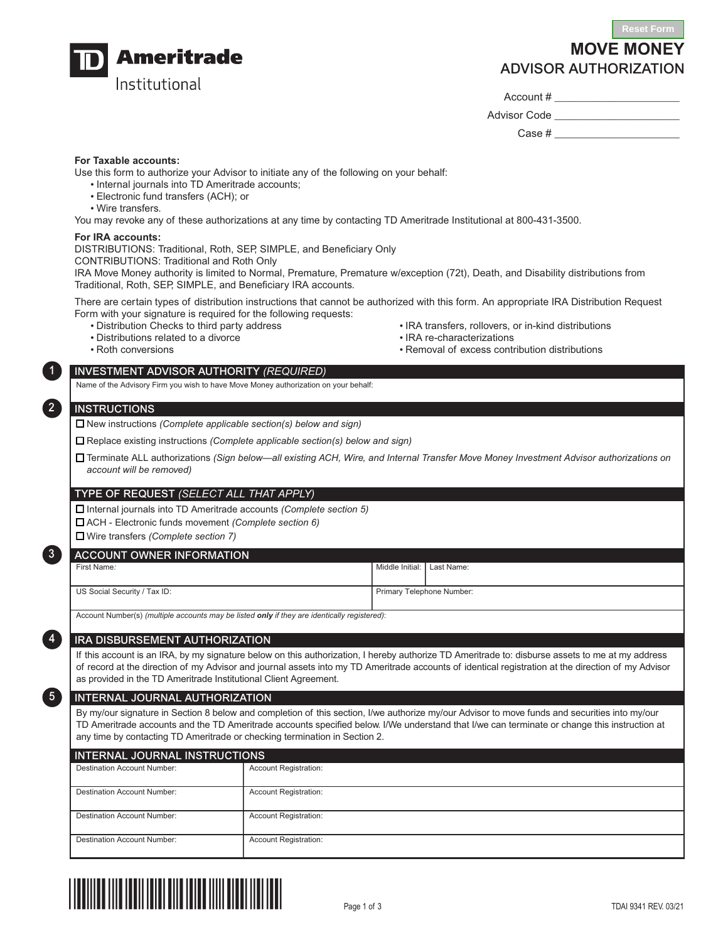

# **MOVE MONEY** ADVISOR AUTHORIZATION

Account # \_\_\_\_\_\_\_\_\_\_\_\_\_\_\_\_\_\_\_\_\_

Advisor Code **Example** 

Case #

## **For Taxable accounts:**

Use this form to authorize your Advisor to initiate any of the following on your behalf:

- Internal journals into TD Ameritrade accounts;
- Electronic fund transfers (ACH); or
- Wire transfers.

You may revoke any of these authorizations at any time by contacting TD Ameritrade Institutional at 800-431-3500.

#### **For IRA accounts:**

DISTRIBUTIONS: Traditional, Roth, SEP, SIMPLE, and Beneficiary Only

CONTRIBUTIONS: Traditional and Roth Only

IRA Move Money authority is limited to Normal, Premature, Premature w/exception (72t), Death, and Disability distributions from Traditional, Roth, SEP, SIMPLE, and Beneficiary IRA accounts.

There are certain types of distribution instructions that cannot be authorized with this form. An appropriate IRA Distribution Request Form with your signature is required for the following requests:

- 
- Distributions related to a divorce IRA re-characterizations
- 
- Distribution Checks to third party address International IRA transfers, rollovers, or in-kind distributions
	-
- Roth conversions Removal of excess contribution distributions

## INVESTMENT ADVISOR AUTHORITY *(REQUIRED)*

Name of the Advisory Firm you wish to have Move Money authorization on your behalf:

# **INSTRUCTIONS**

1

2

3

34

35

□ New instructions *(Complete applicable section(s) below and sign)* 

N Replace existing instructions *(Complete applicable section(s) below and sign)*

N Terminate ALL authorizations *(Sign below—all existing ACH, Wire, and Internal Transfer Move Money Investment Advisor authorizations on account will be removed)*

#### TYPE OF REQUEST *(SELECT ALL THAT APPLY)*

N Internal journals into TD Ameritrade accounts *(Complete section 5)*

N ACH - Electronic funds movement *(Complete section 6)*

N Wire transfers *(Complete section 7)*

## ACCOUNT OWNER INFORMATION

First Name*:* |

US Social Security / Tax ID:

Account Number(s) *(multiple accounts may be listed only if they are identically registered)*:

## IRA DISBURSEMENT AUTHORIZATION

If this account is an IRA, by my signature below on this authorization, I hereby authorize TD Ameritrade to: disburse assets to me at my address of record at the direction of my Advisor and journal assets into my TD Ameritrade accounts of identical registration at the direction of my Advisor as provided in the TD Ameritrade Institutional Client Agreement.

Middle Initial: | Last Name:

Primary Telephone Number:

#### INTERNAL JOURNAL AUTHORIZATION

By my/our signature in Section 8 below and completion of this section, I/we authorize my/our Advisor to move funds and securities into my/our TD Ameritrade accounts and the TD Ameritrade accounts specified below. I/We understand that I/we can terminate or change this instruction at any time by contacting TD Ameritrade or checking termination in Section 2.

| <b>INTERNAL JOURNAL INSTRUCTIONS</b> |                              |  |  |  |
|--------------------------------------|------------------------------|--|--|--|
| <b>Destination Account Number:</b>   | <b>Account Registration:</b> |  |  |  |
| Destination Account Number:          | <b>Account Registration:</b> |  |  |  |
| <b>Destination Account Number:</b>   | <b>Account Registration:</b> |  |  |  |
| <b>Destination Account Number:</b>   | <b>Account Registration:</b> |  |  |  |

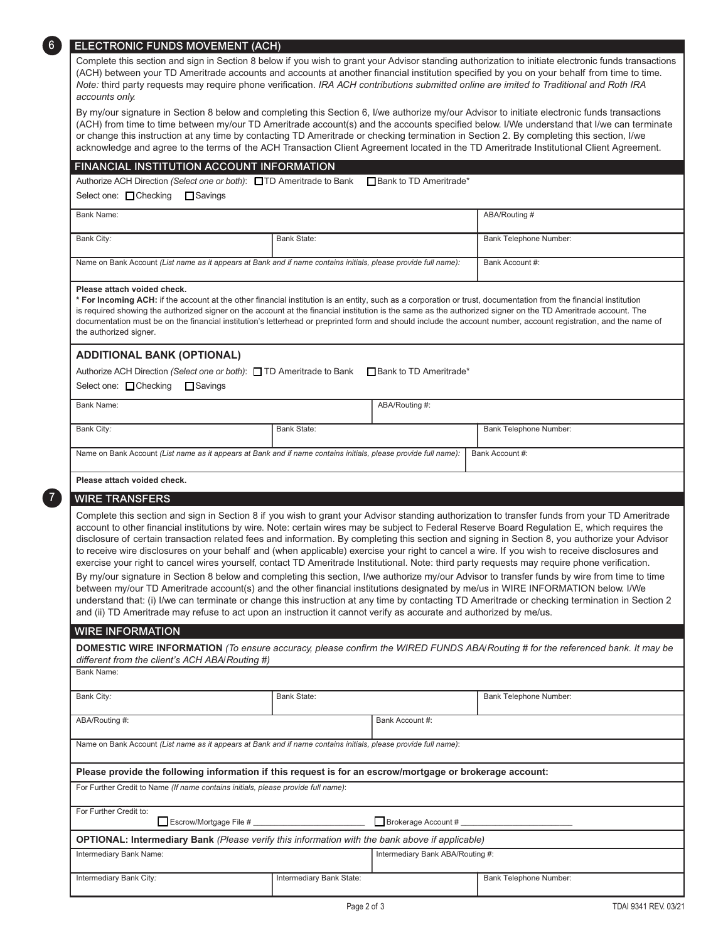| ELECTRONIC FUNDS MOVEMENT (ACH)                                                                                                                                                                                                                                                                                                                                                                                                                                                                                                                                                                                                                                                                                                                                                                                                                                                                                                                                                                               |                          |                                  |                                                                                                                                                                                                                                                                                                   |  |
|---------------------------------------------------------------------------------------------------------------------------------------------------------------------------------------------------------------------------------------------------------------------------------------------------------------------------------------------------------------------------------------------------------------------------------------------------------------------------------------------------------------------------------------------------------------------------------------------------------------------------------------------------------------------------------------------------------------------------------------------------------------------------------------------------------------------------------------------------------------------------------------------------------------------------------------------------------------------------------------------------------------|--------------------------|----------------------------------|---------------------------------------------------------------------------------------------------------------------------------------------------------------------------------------------------------------------------------------------------------------------------------------------------|--|
| (ACH) between your TD Ameritrade accounts and accounts at another financial institution specified by you on your behalf from time to time.<br>Note: third party requests may require phone verification. IRA ACH contributions submitted online are imited to Traditional and Roth IRA<br>accounts only.                                                                                                                                                                                                                                                                                                                                                                                                                                                                                                                                                                                                                                                                                                      |                          |                                  | Complete this section and sign in Section 8 below if you wish to grant your Advisor standing authorization to initiate electronic funds transactions                                                                                                                                              |  |
| By my/our signature in Section 8 below and completing this Section 6, I/we authorize my/our Advisor to initiate electronic funds transactions<br>or change this instruction at any time by contacting TD Ameritrade or checking termination in Section 2. By completing this section, I/we<br>acknowledge and agree to the terms of the ACH Transaction Client Agreement located in the TD Ameritrade Institutional Client Agreement.                                                                                                                                                                                                                                                                                                                                                                                                                                                                                                                                                                         |                          |                                  | (ACH) from time to time between my/our TD Ameritrade account(s) and the accounts specified below. I/We understand that I/we can terminate                                                                                                                                                         |  |
| FINANCIAL INSTITUTION ACCOUNT INFORMATION                                                                                                                                                                                                                                                                                                                                                                                                                                                                                                                                                                                                                                                                                                                                                                                                                                                                                                                                                                     |                          |                                  |                                                                                                                                                                                                                                                                                                   |  |
| Authorize ACH Direction (Select one or both): ■TD Ameritrade to Bank ■ Bank to TD Ameritrade*                                                                                                                                                                                                                                                                                                                                                                                                                                                                                                                                                                                                                                                                                                                                                                                                                                                                                                                 |                          |                                  |                                                                                                                                                                                                                                                                                                   |  |
| Select one: □ Checking<br>Savings                                                                                                                                                                                                                                                                                                                                                                                                                                                                                                                                                                                                                                                                                                                                                                                                                                                                                                                                                                             |                          |                                  |                                                                                                                                                                                                                                                                                                   |  |
| <b>Bank Name:</b>                                                                                                                                                                                                                                                                                                                                                                                                                                                                                                                                                                                                                                                                                                                                                                                                                                                                                                                                                                                             |                          |                                  | ABA/Routing #                                                                                                                                                                                                                                                                                     |  |
| Bank City:                                                                                                                                                                                                                                                                                                                                                                                                                                                                                                                                                                                                                                                                                                                                                                                                                                                                                                                                                                                                    | <b>Bank State:</b>       |                                  | Bank Telephone Number:                                                                                                                                                                                                                                                                            |  |
| Name on Bank Account (List name as it appears at Bank and if name contains initials, please provide full name):                                                                                                                                                                                                                                                                                                                                                                                                                                                                                                                                                                                                                                                                                                                                                                                                                                                                                               |                          |                                  | Bank Account #:                                                                                                                                                                                                                                                                                   |  |
|                                                                                                                                                                                                                                                                                                                                                                                                                                                                                                                                                                                                                                                                                                                                                                                                                                                                                                                                                                                                               |                          |                                  |                                                                                                                                                                                                                                                                                                   |  |
| Please attach voided check.<br>* For Incoming ACH: if the account at the other financial institution is an entity, such as a corporation or trust, documentation from the financial institution<br>is required showing the authorized signer on the account at the financial institution is the same as the authorized signer on the TD Ameritrade account. The<br>documentation must be on the financial institution's letterhead or preprinted form and should include the account number, account registration, and the name of<br>the authorized signer.                                                                                                                                                                                                                                                                                                                                                                                                                                                  |                          |                                  |                                                                                                                                                                                                                                                                                                   |  |
| <b>ADDITIONAL BANK (OPTIONAL)</b>                                                                                                                                                                                                                                                                                                                                                                                                                                                                                                                                                                                                                                                                                                                                                                                                                                                                                                                                                                             |                          |                                  |                                                                                                                                                                                                                                                                                                   |  |
| Authorize ACH Direction (Select one or both): □ TD Ameritrade to Bank □ Bank to TD Ameritrade*                                                                                                                                                                                                                                                                                                                                                                                                                                                                                                                                                                                                                                                                                                                                                                                                                                                                                                                |                          |                                  |                                                                                                                                                                                                                                                                                                   |  |
| Select one: Checking<br>$\Box$ Savings                                                                                                                                                                                                                                                                                                                                                                                                                                                                                                                                                                                                                                                                                                                                                                                                                                                                                                                                                                        |                          |                                  |                                                                                                                                                                                                                                                                                                   |  |
| <b>Bank Name:</b>                                                                                                                                                                                                                                                                                                                                                                                                                                                                                                                                                                                                                                                                                                                                                                                                                                                                                                                                                                                             |                          | ABA/Routing #:                   |                                                                                                                                                                                                                                                                                                   |  |
| Bank City:                                                                                                                                                                                                                                                                                                                                                                                                                                                                                                                                                                                                                                                                                                                                                                                                                                                                                                                                                                                                    | <b>Bank State:</b>       |                                  | Bank Telephone Number:                                                                                                                                                                                                                                                                            |  |
|                                                                                                                                                                                                                                                                                                                                                                                                                                                                                                                                                                                                                                                                                                                                                                                                                                                                                                                                                                                                               |                          |                                  |                                                                                                                                                                                                                                                                                                   |  |
| Name on Bank Account (List name as it appears at Bank and if name contains initials, please provide full name):                                                                                                                                                                                                                                                                                                                                                                                                                                                                                                                                                                                                                                                                                                                                                                                                                                                                                               |                          |                                  | Bank Account #:                                                                                                                                                                                                                                                                                   |  |
| Please attach voided check.                                                                                                                                                                                                                                                                                                                                                                                                                                                                                                                                                                                                                                                                                                                                                                                                                                                                                                                                                                                   |                          |                                  |                                                                                                                                                                                                                                                                                                   |  |
| <b>WIRE TRANSFERS</b>                                                                                                                                                                                                                                                                                                                                                                                                                                                                                                                                                                                                                                                                                                                                                                                                                                                                                                                                                                                         |                          |                                  |                                                                                                                                                                                                                                                                                                   |  |
| account to other financial institutions by wire. Note: certain wires may be subject to Federal Reserve Board Regulation E, which requires the<br>disclosure of certain transaction related fees and information. By completing this section and signing in Section 8, you authorize your Advisor<br>to receive wire disclosures on your behalf and (when applicable) exercise your right to cancel a wire. If you wish to receive disclosures and<br>exercise your right to cancel wires yourself, contact TD Ameritrade Institutional. Note: third party requests may require phone verification.<br>By my/our signature in Section 8 below and completing this section, I/we authorize my/our Advisor to transfer funds by wire from time to time<br>between my/our TD Ameritrade account(s) and the other financial institutions designated by me/us in WIRE INFORMATION below. I/We<br>and (ii) TD Ameritrade may refuse to act upon an instruction it cannot verify as accurate and authorized by me/us. |                          |                                  | Complete this section and sign in Section 8 if you wish to grant your Advisor standing authorization to transfer funds from your TD Ameritrade<br>understand that: (i) I/we can terminate or change this instruction at any time by contacting TD Ameritrade or checking termination in Section 2 |  |
| <b>WIRE INFORMATION</b>                                                                                                                                                                                                                                                                                                                                                                                                                                                                                                                                                                                                                                                                                                                                                                                                                                                                                                                                                                                       |                          |                                  |                                                                                                                                                                                                                                                                                                   |  |
| different from the client's ACH ABA/Routing #)                                                                                                                                                                                                                                                                                                                                                                                                                                                                                                                                                                                                                                                                                                                                                                                                                                                                                                                                                                |                          |                                  | DOMESTIC WIRE INFORMATION (To ensure accuracy, please confirm the WIRED FUNDS ABA/Routing # for the referenced bank. It may be                                                                                                                                                                    |  |
| <b>Bank Name:</b>                                                                                                                                                                                                                                                                                                                                                                                                                                                                                                                                                                                                                                                                                                                                                                                                                                                                                                                                                                                             |                          |                                  |                                                                                                                                                                                                                                                                                                   |  |
| Bank City:                                                                                                                                                                                                                                                                                                                                                                                                                                                                                                                                                                                                                                                                                                                                                                                                                                                                                                                                                                                                    | <b>Bank State:</b>       |                                  | Bank Telephone Number:                                                                                                                                                                                                                                                                            |  |
|                                                                                                                                                                                                                                                                                                                                                                                                                                                                                                                                                                                                                                                                                                                                                                                                                                                                                                                                                                                                               |                          |                                  |                                                                                                                                                                                                                                                                                                   |  |
| ABA/Routing #:                                                                                                                                                                                                                                                                                                                                                                                                                                                                                                                                                                                                                                                                                                                                                                                                                                                                                                                                                                                                |                          | Bank Account #:                  |                                                                                                                                                                                                                                                                                                   |  |
| Name on Bank Account (List name as it appears at Bank and if name contains initials, please provide full name):                                                                                                                                                                                                                                                                                                                                                                                                                                                                                                                                                                                                                                                                                                                                                                                                                                                                                               |                          |                                  |                                                                                                                                                                                                                                                                                                   |  |
| Please provide the following information if this request is for an escrow/mortgage or brokerage account:                                                                                                                                                                                                                                                                                                                                                                                                                                                                                                                                                                                                                                                                                                                                                                                                                                                                                                      |                          |                                  |                                                                                                                                                                                                                                                                                                   |  |
| For Further Credit to Name (If name contains initials, please provide full name):                                                                                                                                                                                                                                                                                                                                                                                                                                                                                                                                                                                                                                                                                                                                                                                                                                                                                                                             |                          |                                  |                                                                                                                                                                                                                                                                                                   |  |
| For Further Credit to:                                                                                                                                                                                                                                                                                                                                                                                                                                                                                                                                                                                                                                                                                                                                                                                                                                                                                                                                                                                        |                          |                                  |                                                                                                                                                                                                                                                                                                   |  |
| Escrow/Mortgage File #                                                                                                                                                                                                                                                                                                                                                                                                                                                                                                                                                                                                                                                                                                                                                                                                                                                                                                                                                                                        |                          | Brokerage Account #              |                                                                                                                                                                                                                                                                                                   |  |
| <b>OPTIONAL: Intermediary Bank</b> (Please verify this information with the bank above if applicable)                                                                                                                                                                                                                                                                                                                                                                                                                                                                                                                                                                                                                                                                                                                                                                                                                                                                                                         |                          |                                  |                                                                                                                                                                                                                                                                                                   |  |
| Intermediary Bank Name:                                                                                                                                                                                                                                                                                                                                                                                                                                                                                                                                                                                                                                                                                                                                                                                                                                                                                                                                                                                       |                          | Intermediary Bank ABA/Routing #: |                                                                                                                                                                                                                                                                                                   |  |
|                                                                                                                                                                                                                                                                                                                                                                                                                                                                                                                                                                                                                                                                                                                                                                                                                                                                                                                                                                                                               |                          |                                  |                                                                                                                                                                                                                                                                                                   |  |
| Intermediary Bank City:                                                                                                                                                                                                                                                                                                                                                                                                                                                                                                                                                                                                                                                                                                                                                                                                                                                                                                                                                                                       | Intermediary Bank State: |                                  | Bank Telephone Number:                                                                                                                                                                                                                                                                            |  |